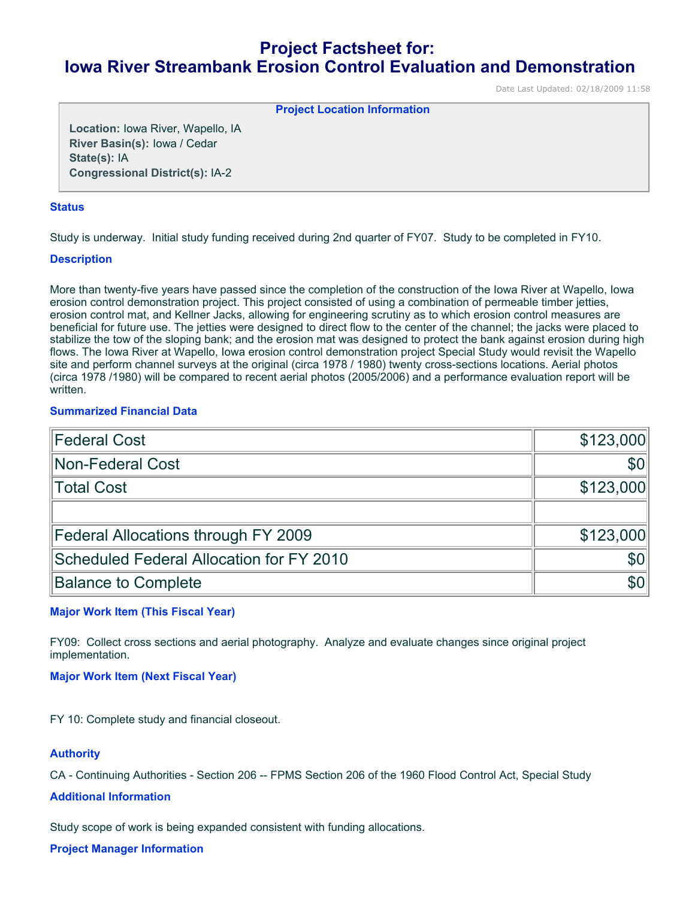# **Project Factsheet for: Iowa River Streambank Erosion Control Evaluation and Demonstration**

Date Last Updated: 02/18/2009 11:58

**Project Location Information** 

**Location:** Iowa River, Wapello, IA **River Basin(s):** Iowa / Cedar **State(s):** IA **Congressional District(s):** IA-2

### **Status**

Study is underway. Initial study funding received during 2nd quarter of FY07. Study to be completed in FY10.

### **Description**

More than twenty-five years have passed since the completion of the construction of the Iowa River at Wapello, Iowa erosion control demonstration project. This project consisted of using a combination of permeable timber jetties, erosion control mat, and Kellner Jacks, allowing for engineering scrutiny as to which erosion control measures are beneficial for future use. The jetties were designed to direct flow to the center of the channel; the jacks were placed to stabilize the tow of the sloping bank; and the erosion mat was designed to protect the bank against erosion during high flows. The Iowa River at Wapello, Iowa erosion control demonstration project Special Study would revisit the Wapello site and perform channel surveys at the original (circa 1978 / 1980) twenty cross-sections locations. Aerial photos (circa 1978 /1980) will be compared to recent aerial photos (2005/2006) and a performance evaluation report will be written.

# **Summarized Financial Data**

| <b>Federal Cost</b>                        | \$123,000  |
|--------------------------------------------|------------|
| Non-Federal Cost                           | <b>SOI</b> |
| Total Cost                                 | \$123,000  |
|                                            |            |
| <b>Federal Allocations through FY 2009</b> | \$123,000  |
| Scheduled Federal Allocation for FY 2010   | <b>SO</b>  |
| <b>Balance to Complete</b>                 | <b>\$0</b> |

## **Major Work Item (This Fiscal Year)**

FY09: Collect cross sections and aerial photography. Analyze and evaluate changes since original project implementation.

#### **Major Work Item (Next Fiscal Year)**

FY 10: Complete study and financial closeout.

## **Authority**

CA - Continuing Authorities - Section 206 -- FPMS Section 206 of the 1960 Flood Control Act, Special Study

#### **Additional Information**

Study scope of work is being expanded consistent with funding allocations.

**Project Manager Information**